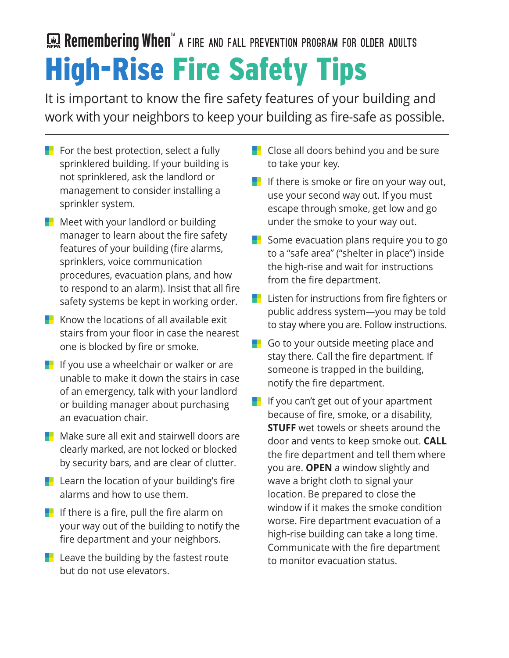## High-Rise Fire Safety Tips Remembering When<sup>t</sup> a FIRE AND FALL PREVENTION PROGRAM FOR OLDER ADULTS

It is important to know the fire safety features of your building and work with your neighbors to keep your building as fire-safe as possible.

- For the best protection, select a fully sprinklered building. If your building is not sprinklered, ask the landlord or management to consider installing a sprinkler system.
- **Meet with your landlord or building** manager to learn about the fire safety features of your building (fire alarms, sprinklers, voice communication procedures, evacuation plans, and how to respond to an alarm). Insist that all fire safety systems be kept in working order.
- $\blacksquare$  Know the locations of all available exit stairs from your floor in case the nearest one is blocked by fire or smoke.
- **If** If you use a wheelchair or walker or are unable to make it down the stairs in case of an emergency, talk with your landlord or building manager about purchasing an evacuation chair.
- $\blacksquare$  Make sure all exit and stairwell doors are clearly marked, are not locked or blocked by security bars, and are clear of clutter.
- **Learn the location of your building's fire** alarms and how to use them.
- If there is a fire, pull the fire alarm on your way out of the building to notify the fire department and your neighbors.
- $\blacksquare$  Leave the building by the fastest route but do not use elevators.
- **Close all doors behind you and be sure** to take your key.
- If there is smoke or fire on your way out, use your second way out. If you must escape through smoke, get low and go under the smoke to your way out.
- Some evacuation plans require you to go to a "safe area" ("shelter in place") inside the high-rise and wait for instructions from the fire department.
- **Listen for instructions from fire fighters or** public address system—you may be told to stay where you are. Follow instructions.
- Go to your outside meeting place and stay there. Call the fire department. If someone is trapped in the building, notify the fire department.
- **If** If you can't get out of your apartment because of fire, smoke, or a disability, **STUFF** wet towels or sheets around the door and vents to keep smoke out. **CALL** the fire department and tell them where you are. **OPEN** a window slightly and wave a bright cloth to signal your location. Be prepared to close the window if it makes the smoke condition worse. Fire department evacuation of a high-rise building can take a long time. Communicate with the fire department to monitor evacuation status.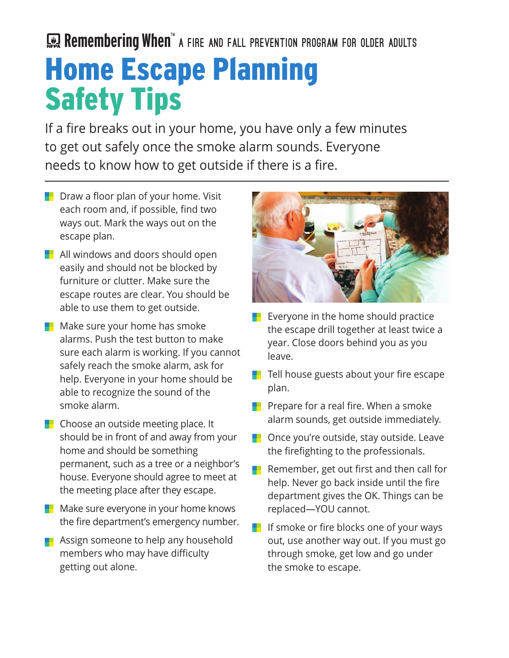Remembering When<sup>t</sup> a FIRE AND FALL PREVENTION PROGRAM FOR OLDER ADULTS

## Home Escape Planning Safety Tips

If a fire breaks out in your home, you have only a few minutes to get out safely once the smoke alarm sounds. Everyone needs to know how to get outside if there is a fire.

- **Draw a floor plan of your home. Visit** each room and, if possible, find two ways out. Mark the ways out on the escape plan.
- **All windows and doors should open** easily and should not be blocked by furniture or clutter. Make sure the escape routes are clear. You should be able to use them to get outside.
- **Make sure your home has smoke** alarms. Push the test button to make sure each alarm is working. If you cannot safely reach the smoke alarm, ask for help. Everyone in your home should be able to recognize the sound of the smoke alarm.
- $\blacksquare$  Choose an outside meeting place. It should be in front of and away from your home and should be something permanent, such as a tree or a neighbor's house. Everyone should agree to meet at the meeting place after they escape.
- **Make sure everyone in your home knows** the fire department's emergency number.
- **Assign someone to help any household** members who may have difficulty getting out alone.



- Everyone in the home should practice the escape drill together at least twice a year. Close doors behind you as you leave.
- Tell house guests about your fire escape plan.
- **Parigmen** Prepare for a real fire. When a smoke alarm sounds, get outside immediately.
- **D** Once you're outside, stay outside. Leave the firefighting to the professionals.
- **Remember, get out first and then call for** help. Never go back inside until the fire department gives the OK. Things can be replaced—YOU cannot.
- **If** If smoke or fire blocks one of your ways out, use another way out. If you must go through smoke, get low and go under the smoke to escape.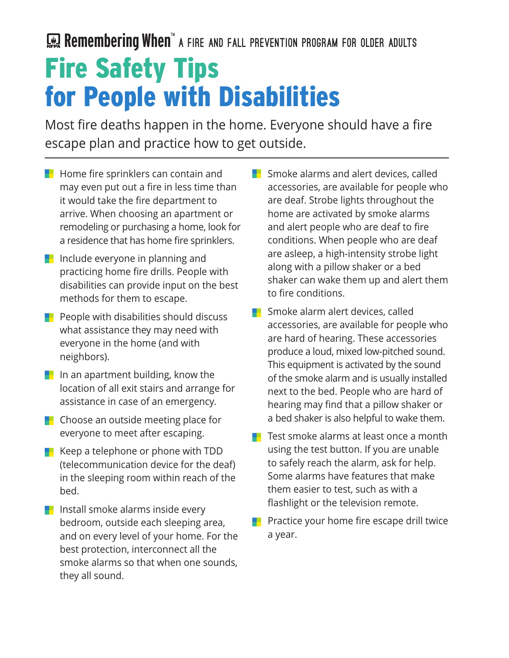## Fire Safety Tips for People with Disabilities Remembering When<sup>t</sup> a FIRE AND FALL PREVENTION PROGRAM FOR OLDER ADULTS

Most fire deaths happen in the home. Everyone should have a fire escape plan and practice how to get outside.

- $\blacksquare$  Home fire sprinklers can contain and may even put out a fire in less time than it would take the fire department to arrive. When choosing an apartment or remodeling or purchasing a home, look for a residence that has home fire sprinklers.
- **I** Include everyone in planning and practicing home fire drills. People with disabilities can provide input on the best methods for them to escape.
- **Parth** People with disabilities should discuss what assistance they may need with everyone in the home (and with neighbors).
- **I** In an apartment building, know the location of all exit stairs and arrange for assistance in case of an emergency.
- **Choose an outside meeting place for** everyone to meet after escaping.
- Keep a telephone or phone with TDD (telecommunication device for the deaf) in the sleeping room within reach of the bed.
- **Install smoke alarms inside every** bedroom, outside each sleeping area, and on every level of your home. For the best protection, interconnect all the smoke alarms so that when one sounds, they all sound.

**Smoke alarms and alert devices, called** accessories, are available for people who are deaf. Strobe lights throughout the home are activated by smoke alarms and alert people who are deaf to fire conditions. When people who are deaf are asleep, a high-intensity strobe light along with a pillow shaker or a bed shaker can wake them up and alert them to fire conditions.

- **Smoke alarm alert devices, called** accessories, are available for people who are hard of hearing. These accessories produce a loud, mixed low-pitched sound. This equipment is activated by the sound of the smoke alarm and is usually installed next to the bed. People who are hard of hearing may find that a pillow shaker or a bed shaker is also helpful to wake them.
- Test smoke alarms at least once a month using the test button. If you are unable to safely reach the alarm, ask for help. Some alarms have features that make them easier to test, such as with a flashlight or the television remote.
- Practice your home fire escape drill twice a year.